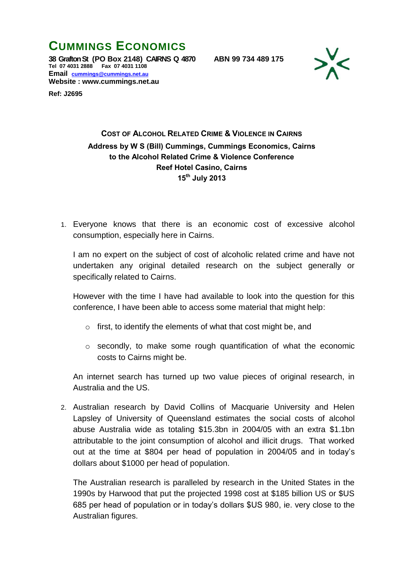## **CUMMINGS ECONOMICS**

**38 Grafton St (PO Box 2148) CAIRNS Q 4870 ABN 99 734 489 175 Tel 07 4031 2888 Fax 07 4031 1108 Email [cummings@cummings.net.au](mailto:cummings@cummings.net.au) Website : www.cummings.net.au**

**Ref: J2695**



## **COST OF ALCOHOL RELATED CRIME & VIOLENCE IN CAIRNS Address by W S (Bill) Cummings, Cummings Economics, Cairns to the Alcohol Related Crime & Violence Conference Reef Hotel Casino, Cairns 15th July 2013**

1. Everyone knows that there is an economic cost of excessive alcohol consumption, especially here in Cairns.

I am no expert on the subject of cost of alcoholic related crime and have not undertaken any original detailed research on the subject generally or specifically related to Cairns.

However with the time I have had available to look into the question for this conference, I have been able to access some material that might help:

- o first, to identify the elements of what that cost might be, and
- o secondly, to make some rough quantification of what the economic costs to Cairns might be.

An internet search has turned up two value pieces of original research, in Australia and the US.

2. Australian research by David Collins of Macquarie University and Helen Lapsley of University of Queensland estimates the social costs of alcohol abuse Australia wide as totaling \$15.3bn in 2004/05 with an extra \$1.1bn attributable to the joint consumption of alcohol and illicit drugs. That worked out at the time at \$804 per head of population in 2004/05 and in today's dollars about \$1000 per head of population.

The Australian research is paralleled by research in the United States in the 1990s by Harwood that put the projected 1998 cost at \$185 billion US or \$US 685 per head of population or in today's dollars \$US 980, ie. very close to the Australian figures.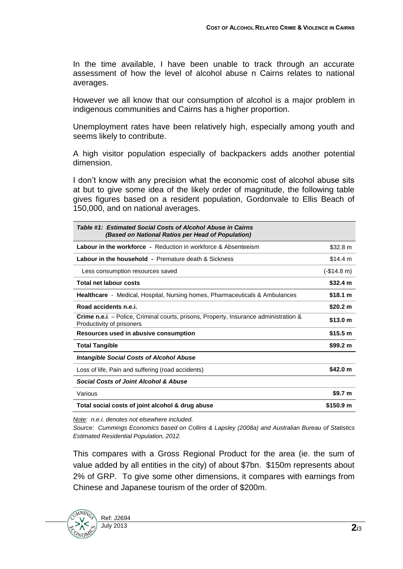In the time available, I have been unable to track through an accurate assessment of how the level of alcohol abuse n Cairns relates to national averages.

However we all know that our consumption of alcohol is a major problem in indigenous communities and Cairns has a higher proportion.

Unemployment rates have been relatively high, especially among youth and seems likely to contribute.

A high visitor population especially of backpackers adds another potential dimension.

I don't know with any precision what the economic cost of alcohol abuse sits at but to give some idea of the likely order of magnitude, the following table gives figures based on a resident population, Gordonvale to Ellis Beach of 150,000, and on national averages.

| Table #1: Estimated Social Costs of Alcohol Abuse in Cairns<br>(Based on National Ratios per Head of Population)           |                      |
|----------------------------------------------------------------------------------------------------------------------------|----------------------|
| <b>Labour in the workforce -</b> Reduction in workforce & Absenteeism                                                      | \$32.8 m             |
| <b>Labour in the household - Premature death &amp; Sickness</b>                                                            | \$14.4 m             |
| Less consumption resources saved                                                                                           | $(-$14.8 m)$         |
| <b>Total net labour costs</b>                                                                                              | \$32.4 m             |
| <b>Healthcare</b> - Medical, Hospital, Nursing homes, Pharmaceuticals & Ambulances                                         | \$18.1 m             |
| Road accidents n.e.i.                                                                                                      | \$20.2 m             |
| <b>Crime n.e.i</b> . – Police, Criminal courts, prisons, Property, Insurance administration &<br>Productivity of prisoners | \$13.0 m             |
| Resources used in abusive consumption                                                                                      | \$15.5 m             |
| <b>Total Tangible</b>                                                                                                      | \$99.2 m             |
| Intangible Social Costs of Alcohol Abuse                                                                                   |                      |
| Loss of life, Pain and suffering (road accidents)                                                                          | \$42.0 m             |
| Social Costs of Joint Alcohol & Abuse                                                                                      |                      |
| Various                                                                                                                    | \$9.7 <sub>m</sub>   |
| Total social costs of joint alcohol & drug abuse                                                                           | \$150.9 <sub>m</sub> |

*Note: n.e.i. denotes not elsewhere included.*

*Source: Cummings Economics based on Collins & Lapsley (2008a) and Australian Bureau of Statistics Estimated Residential Population, 2012.*

This compares with a Gross Regional Product for the area (ie. the sum of value added by all entities in the city) of about \$7bn. \$150m represents about 2% of GRP. To give some other dimensions, it compares with earnings from Chinese and Japanese tourism of the order of \$200m.